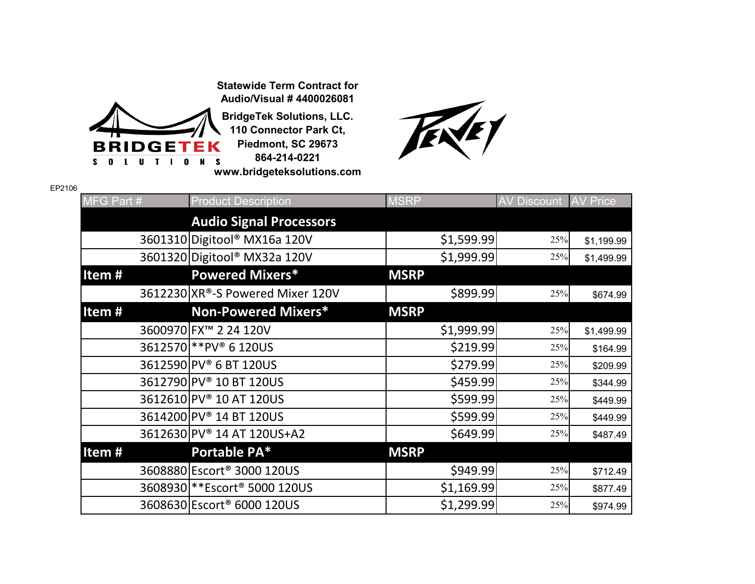**Statewide Term Contract for Audio/Visual # 4400026081**



**BridgeTek Solutions, LLC. 110 Connector Park Ct, Piedmont, SC 29673 864-214-0221 www.bridgeteksolutions.com**



| EP2106 |            |                                           |             |                    |                 |
|--------|------------|-------------------------------------------|-------------|--------------------|-----------------|
|        | MFG Part # | <b>Product Description</b>                | <b>MSRP</b> | <b>AV Discount</b> | <b>AV Price</b> |
|        |            | <b>Audio Signal Processors</b>            |             |                    |                 |
|        |            | 3601310 Digitool® MX16a 120V              | \$1,599.99  | 25%                | \$1,199.99      |
|        |            | 3601320 Digitool® MX32a 120V              | \$1,999.99  | 25%                | \$1,499.99      |
|        | Item#      | <b>Powered Mixers*</b>                    | <b>MSRP</b> |                    |                 |
|        |            | 3612230 XR®-S Powered Mixer 120V          | \$899.99    | 25%                | \$674.99        |
|        | Item#      | <b>Non-Powered Mixers*</b>                | <b>MSRP</b> |                    |                 |
|        |            | 3600970 FX <sup>™</sup> 2 24 120V         | \$1,999.99  | 25%                | \$1,499.99      |
|        |            | 3612570 ** PV® 6 120US                    | \$219.99    | 25%                | \$164.99        |
|        |            | 3612590 PV® 6 BT 120US                    | \$279.99    | 25%                | \$209.99        |
|        |            | 3612790 PV <sup>®</sup> 10 BT 120US       | \$459.99    | 25%                | \$344.99        |
|        |            | 3612610 PV <sup>®</sup> 10 AT 120US       | \$599.99    | 25%                | \$449.99        |
|        |            | 3614200 PV <sup>®</sup> 14 BT 120US       | \$599.99    | 25%                | \$449.99        |
|        |            | 3612630 PV® 14 AT 120US+A2                | \$649.99    | 25%                | \$487.49        |
|        | Item#      | Portable PA*                              | <b>MSRP</b> |                    |                 |
|        |            | 3608880 Escort <sup>®</sup> 3000 120US    | \$949.99    | 25%                | \$712.49        |
|        |            | 3608930 ** Escort <sup>®</sup> 5000 120US | \$1,169.99  | 25%                | \$877.49        |
|        |            | 3608630 Escort <sup>®</sup> 6000 120US    | \$1,299.99  | 25%                | \$974.99        |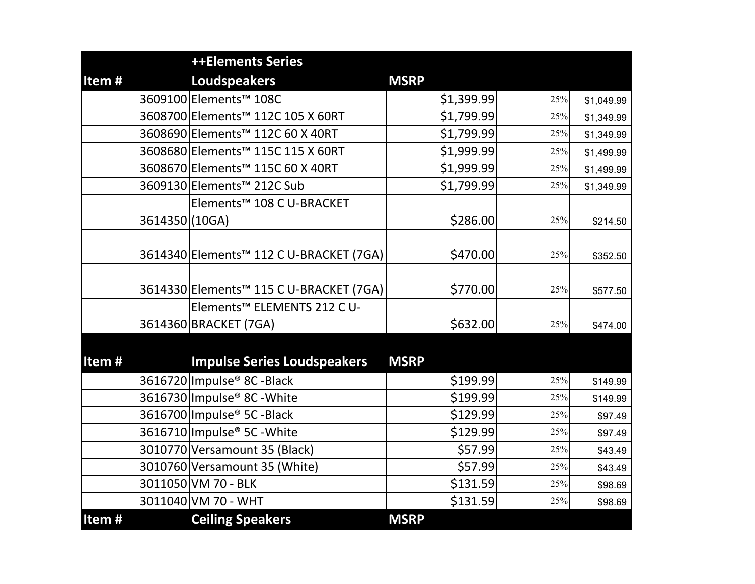|                | <b>++Elements Series</b>                            |             |     |            |
|----------------|-----------------------------------------------------|-------------|-----|------------|
| Item#          | <b>Loudspeakers</b>                                 | <b>MSRP</b> |     |            |
|                | 3609100 Elements <sup>™</sup> 108C                  | \$1,399.99  | 25% | \$1,049.99 |
|                | 3608700 Elements™ 112C 105 X 60RT                   | \$1,799.99  | 25% | \$1,349.99 |
|                | 3608690 Elements™ 112C 60 X 40RT                    | \$1,799.99  | 25% | \$1,349.99 |
|                | 3608680 Elements <sup>™</sup> 115C 115 X 60RT       | \$1,999.99  | 25% | \$1,499.99 |
|                | 3608670 Elements™ 115C 60 X 40RT                    | \$1,999.99  | 25% | \$1,499.99 |
|                | 3609130 Elements™ 212C Sub                          | \$1,799.99  | 25% | \$1,349.99 |
|                | Elements™ 108 C U-BRACKET                           |             |     |            |
| 3614350 (10GA) |                                                     | \$286.00    | 25% | \$214.50   |
|                |                                                     |             |     |            |
|                | 3614340 Elements™ 112 C U-BRACKET (7GA)             | \$470.00    | 25% | \$352.50   |
|                |                                                     |             |     |            |
|                | 3614330 Elements <sup>™</sup> 115 C U-BRACKET (7GA) | \$770.00    | 25% | \$577.50   |
|                | Elements <sup>™</sup> ELEMENTS 212 C U-             |             |     |            |
|                | 3614360 BRACKET (7GA)                               | \$632.00    | 25% | \$474.00   |
|                |                                                     |             |     |            |
| Item $#$       | <b>Impulse Series Loudspeakers</b>                  | <b>MSRP</b> |     |            |
|                | 3616720 Impulse <sup>®</sup> 8C - Black             | \$199.99    | 25% | \$149.99   |
|                | 3616730 Impulse <sup>®</sup> 8C - White             | \$199.99    | 25% | \$149.99   |
|                | 3616700 Impulse® 5C - Black                         | \$129.99    | 25% | \$97.49    |
|                | 3616710 Impulse® 5C - White                         | \$129.99    | 25% | \$97.49    |
|                | 3010770 Versamount 35 (Black)                       | \$57.99     | 25% | \$43.49    |
|                | 3010760 Versamount 35 (White)                       | \$57.99     | 25% | \$43.49    |
|                | 3011050 VM 70 - BLK                                 | \$131.59    | 25% | \$98.69    |
|                | 3011040 VM 70 - WHT                                 | \$131.59    | 25% | \$98.69    |
| Item#          | <b>Ceiling Speakers</b>                             | <b>MSRP</b> |     |            |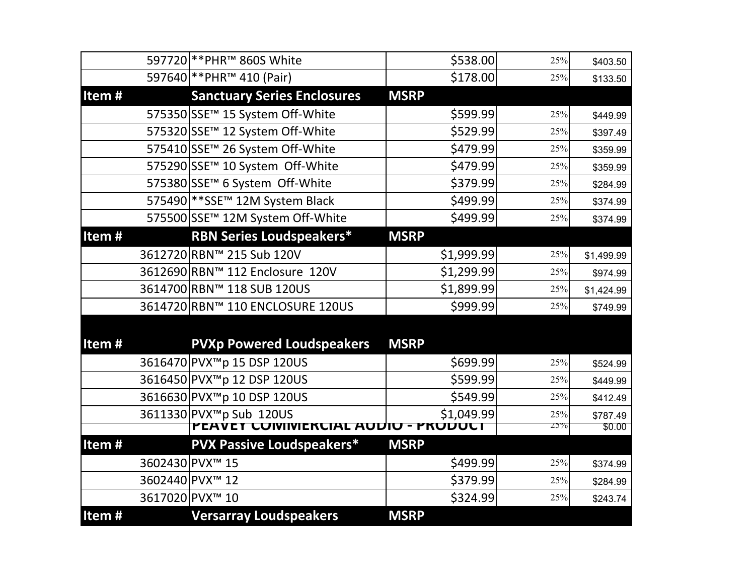|       | 597720 ** PHR <sup>™</sup> 860S White        | \$538.00    | 25%    | \$403.50   |
|-------|----------------------------------------------|-------------|--------|------------|
|       | 597640 ** PHR <sup>™</sup> 410 (Pair)        | \$178.00    | 25%    | \$133.50   |
| Item# | <b>Sanctuary Series Enclosures</b>           | <b>MSRP</b> |        |            |
|       | 575350 SSE <sup>™</sup> 15 System Off-White  | \$599.99    | 25%    | \$449.99   |
|       | 575320 SSE <sup>™</sup> 12 System Off-White  | \$529.99    | 25%    | \$397.49   |
|       | 575410 SSE™ 26 System Off-White              | \$479.99    | 25%    | \$359.99   |
|       | 575290 SSE <sup>™</sup> 10 System Off-White  | \$479.99    | 25%    | \$359.99   |
|       | 575380 SSE <sup>™</sup> 6 System Off-White   | \$379.99    | 25%    | \$284.99   |
|       | 575490 ** SSE <sup>™</sup> 12M System Black  | \$499.99    | 25%    | \$374.99   |
|       | 575500 SSE™ 12M System Off-White             | \$499.99    | 25%    | \$374.99   |
| Item# | <b>RBN Series Loudspeakers*</b>              | <b>MSRP</b> |        |            |
|       | 3612720 RBN™ 215 Sub 120V                    | \$1,999.99  | 25%    | \$1,499.99 |
|       | 3612690 RBN™ 112 Enclosure 120V              | \$1,299.99  | 25%    | \$974.99   |
|       | 3614700 RBN™ 118 SUB 120US                   | \$1,899.99  | 25%    | \$1,424.99 |
|       | 3614720 RBN™ 110 ENCLOSURE 120US             | \$999.99    | 25%    | \$749.99   |
|       |                                              |             |        |            |
| Item# | <b>PVXp Powered Loudspeakers</b>             | <b>MSRP</b> |        |            |
|       | 3616470 PVX <sup>™</sup> p 15 DSP 120US      | \$699.99    | 25%    | \$524.99   |
|       | 3616450 PVX <sup>™</sup> p 12 DSP 120US      | \$599.99    | 25%    | \$449.99   |
|       | 3616630 PVX <sup>™</sup> p 10 DSP 120US      | \$549.99    | 25%    | \$412.49   |
|       | 3611330 PVX <sup>™</sup> p Sub 120US         | \$1,049.99  | 25%    | \$787.49   |
|       | <b>PEAVET CUIVIIVIERCIAL AUDIO - PRODUCT</b> |             | $25\%$ | \$0.00     |
| Item# | <b>PVX Passive Loudspeakers*</b>             | <b>MSRP</b> |        |            |
|       | 3602430 PVX™ 15                              | \$499.99    | 25%    | \$374.99   |
|       | 3602440 PVX <sup>™</sup> 12                  | \$379.99    | 25%    | \$284.99   |
|       | 3617020 PVX™ 10                              | \$324.99    | 25%    | \$243.74   |
| Item# | <b>Versarray Loudspeakers</b>                | <b>MSRP</b> |        |            |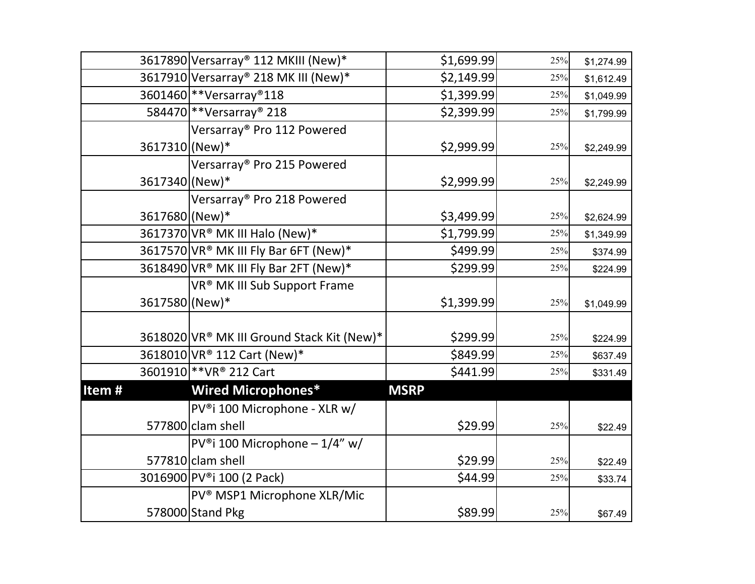|                | 3617890 Versarray® 112 MKIII (New)*        | \$1,699.99  | 25% | \$1,274.99 |
|----------------|--------------------------------------------|-------------|-----|------------|
|                | 3617910 Versarray® 218 MK III (New)*       | \$2,149.99  | 25% | \$1,612.49 |
|                | 3601460 ** Versarray® 118                  | \$1,399.99  | 25% | \$1,049.99 |
|                | 584470 ** Versarray <sup>®</sup> 218       | \$2,399.99  | 25% | \$1,799.99 |
|                | Versarray <sup>®</sup> Pro 112 Powered     |             |     |            |
| 3617310 (New)* |                                            | \$2,999.99  | 25% | \$2,249.99 |
|                | Versarray® Pro 215 Powered                 |             |     |            |
| 3617340 (New)* |                                            | \$2,999.99  | 25% | \$2,249.99 |
|                | Versarray <sup>®</sup> Pro 218 Powered     |             |     |            |
| 3617680 (New)* |                                            | \$3,499.99  | 25% | \$2,624.99 |
|                | 3617370 VR <sup>®</sup> MK III Halo (New)* | \$1,799.99  | 25% | \$1,349.99 |
|                | 3617570 VR® MK III Fly Bar 6FT (New)*      | \$499.99    | 25% | \$374.99   |
|                | 3618490 VR® MK III Fly Bar 2FT (New)*      | \$299.99    | 25% | \$224.99   |
|                | VR® MK III Sub Support Frame               |             |     |            |
| 3617580 (New)* |                                            | \$1,399.99  | 25% | \$1,049.99 |
|                |                                            |             |     |            |
|                | 3618020 VR® MK III Ground Stack Kit (New)* | \$299.99    | 25% | \$224.99   |
|                | 3618010 VR® 112 Cart (New)*                | \$849.99    | 25% | \$637.49   |
|                | 3601910 ** VR® 212 Cart                    | \$441.99    | 25% | \$331.49   |
| Item#          | <b>Wired Microphones*</b>                  | <b>MSRP</b> |     |            |
|                | PV®i 100 Microphone - XLR w/               |             |     |            |
|                | 577800 clam shell                          | \$29.99     | 25% | \$22.49    |
|                | PV®i 100 Microphone - $1/4''$ w/           |             |     |            |
|                | 577810 clam shell                          | \$29.99     | 25% | \$22.49    |
|                | 3016900 PV®i 100 (2 Pack)                  | \$44.99     | 25% | \$33.74    |
|                | PV <sup>®</sup> MSP1 Microphone XLR/Mic    |             |     |            |
|                | 578000 Stand Pkg                           | \$89.99     | 25% | \$67.49    |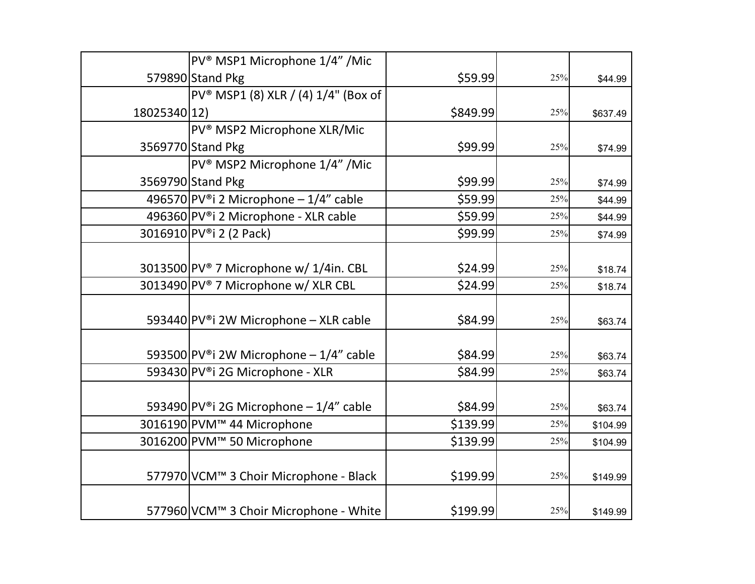|              | PV <sup>®</sup> MSP1 Microphone 1/4" /Mic       |          |     |          |
|--------------|-------------------------------------------------|----------|-----|----------|
|              | 579890 Stand Pkg                                | \$59.99  | 25% | \$44.99  |
|              | PV <sup>®</sup> MSP1 (8) XLR / (4) 1/4" (Box of |          |     |          |
| 18025340 12) |                                                 | \$849.99 | 25% | \$637.49 |
|              | PV <sup>®</sup> MSP2 Microphone XLR/Mic         |          |     |          |
|              | 3569770 Stand Pkg                               | \$99.99  | 25% | \$74.99  |
|              | PV <sup>®</sup> MSP2 Microphone 1/4" /Mic       |          |     |          |
|              | 3569790 Stand Pkg                               | \$99.99  | 25% | \$74.99  |
|              | 496570 PV®i 2 Microphone $-1/4$ " cable         | \$59.99  | 25% | \$44.99  |
|              | 496360 PV®i 2 Microphone - XLR cable            | \$59.99  | 25% | \$44.99  |
|              | 3016910 PV®i 2 (2 Pack)                         | \$99.99  | 25% | \$74.99  |
|              |                                                 |          |     |          |
|              | 3013500 PV® 7 Microphone w/ 1/4in. CBL          | \$24.99  | 25% | \$18.74  |
|              | 3013490 PV® 7 Microphone w/ XLR CBL             | \$24.99  | 25% | \$18.74  |
|              |                                                 |          |     |          |
|              | 593440 PV®i 2W Microphone - XLR cable           | \$84.99  | 25% | \$63.74  |
|              |                                                 |          |     |          |
|              | 593500 PV®i 2W Microphone $-1/4$ " cable        | \$84.99  | 25% | \$63.74  |
|              | 593430 PV®i 2G Microphone - XLR                 | \$84.99  | 25% | \$63.74  |
|              |                                                 |          |     |          |
|              | 593490 PV®i 2G Microphone - 1/4" cable          | \$84.99  | 25% | \$63.74  |
|              | 3016190 PVM <sup>™</sup> 44 Microphone          | \$139.99 | 25% | \$104.99 |
|              | 3016200 PVM <sup>™</sup> 50 Microphone          | \$139.99 | 25% | \$104.99 |
|              |                                                 |          |     |          |
|              | 577970 VCM™ 3 Choir Microphone - Black          | \$199.99 | 25% | \$149.99 |
|              |                                                 |          |     |          |
|              | 577960 VCM™ 3 Choir Microphone - White          | \$199.99 | 25% | \$149.99 |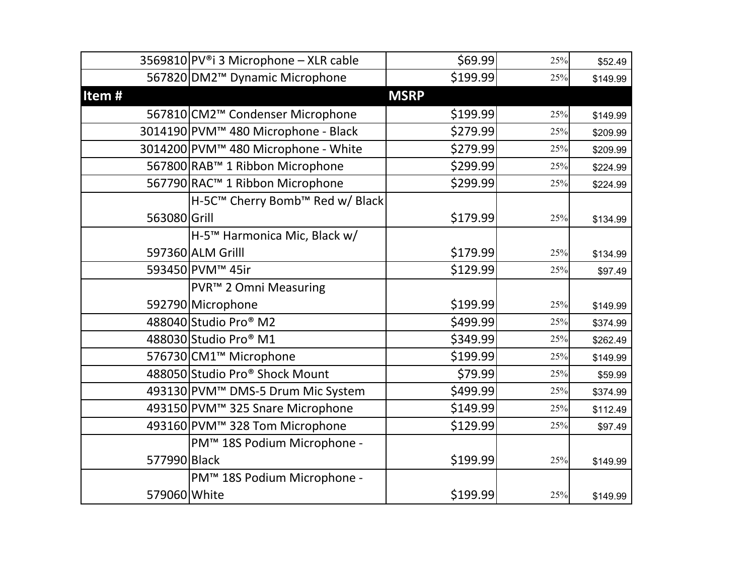|              | 3569810 PV®i 3 Microphone - XLR cable           | \$69.99     | 25% | \$52.49  |
|--------------|-------------------------------------------------|-------------|-----|----------|
|              | 567820 DM2 <sup>™</sup> Dynamic Microphone      | \$199.99    | 25% | \$149.99 |
| Item#        |                                                 | <b>MSRP</b> |     |          |
|              | 567810 CM2 <sup>™</sup> Condenser Microphone    | \$199.99    | 25% | \$149.99 |
|              | 3014190 PVM™ 480 Microphone - Black             | \$279.99    | 25% | \$209.99 |
|              | 3014200 PVM <sup>™</sup> 480 Microphone - White | \$279.99    | 25% | \$209.99 |
|              | 567800 RAB™ 1 Ribbon Microphone                 | \$299.99    | 25% | \$224.99 |
|              | 567790 RAC™ 1 Ribbon Microphone                 | \$299.99    | 25% | \$224.99 |
|              | H-5C™ Cherry Bomb™ Red w/ Black                 |             |     |          |
| 563080 Grill |                                                 | \$179.99    | 25% | \$134.99 |
|              | H-5™ Harmonica Mic, Black w/                    |             |     |          |
|              | 597360 ALM Grilll                               | \$179.99    | 25% | \$134.99 |
|              | 593450 PVM <sup>™</sup> 45ir                    | \$129.99    | 25% | \$97.49  |
|              | PVR <sup>™</sup> 2 Omni Measuring               |             |     |          |
|              | 592790 Microphone                               | \$199.99    | 25% | \$149.99 |
|              | 488040 Studio Pro <sup>®</sup> M2               | \$499.99    | 25% | \$374.99 |
|              | 488030 Studio Pro <sup>®</sup> M1               | \$349.99    | 25% | \$262.49 |
|              | 576730 CM1 <sup>™</sup> Microphone              | \$199.99    | 25% | \$149.99 |
|              | 488050 Studio Pro® Shock Mount                  | \$79.99     | 25% | \$59.99  |
|              | 493130 PVM™ DMS-5 Drum Mic System               | \$499.99    | 25% | \$374.99 |
|              | 493150 PVM™ 325 Snare Microphone                | \$149.99    | 25% | \$112.49 |
|              | 493160 PVM™ 328 Tom Microphone                  | \$129.99    | 25% | \$97.49  |
|              | PM™ 18S Podium Microphone -                     |             |     |          |
| 577990 Black |                                                 | \$199.99    | 25% | \$149.99 |
|              | PM™ 18S Podium Microphone -                     |             |     |          |
| 579060 White |                                                 | \$199.99    | 25% | \$149.99 |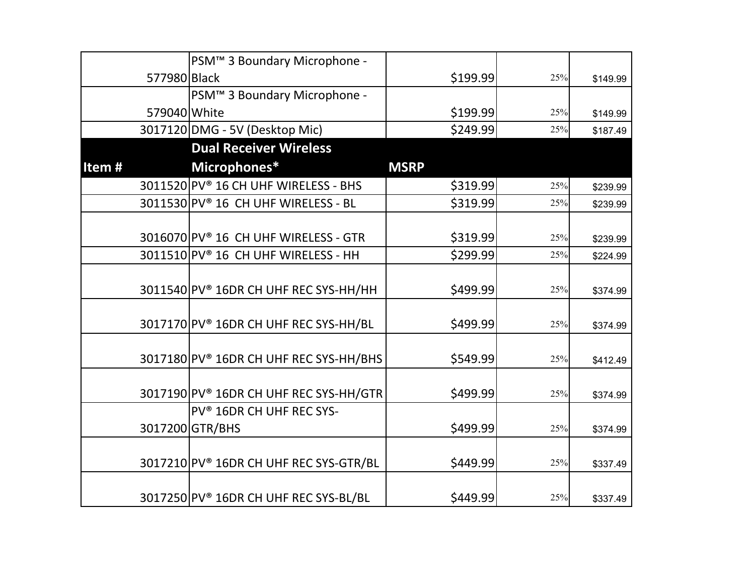|              | PSM <sup>™</sup> 3 Boundary Microphone -           |             |     |          |
|--------------|----------------------------------------------------|-------------|-----|----------|
| 577980 Black |                                                    | \$199.99    | 25% | \$149.99 |
|              | PSM <sup>™</sup> 3 Boundary Microphone -           |             |     |          |
|              | 579040 White                                       | \$199.99    | 25% | \$149.99 |
|              | 3017120 DMG - 5V (Desktop Mic)                     | \$249.99    | 25% | \$187.49 |
|              | <b>Dual Receiver Wireless</b>                      |             |     |          |
| Item#        | Microphones*                                       | <b>MSRP</b> |     |          |
|              | 3011520 PV® 16 CH UHF WIRELESS - BHS               | \$319.99    | 25% | \$239.99 |
|              | 3011530 PV® 16 CH UHF WIRELESS - BL                | \$319.99    | 25% | \$239.99 |
|              |                                                    |             |     |          |
|              | 3016070 PV® 16 CH UHF WIRELESS - GTR               | \$319.99    | 25% | \$239.99 |
|              | 3011510 PV® 16 CH UHF WIRELESS - HH                | \$299.99    | 25% | \$224.99 |
|              |                                                    |             |     |          |
|              | 3011540 PV <sup>®</sup> 16DR CH UHF REC SYS-HH/HH  | \$499.99    | 25% | \$374.99 |
|              |                                                    |             |     |          |
|              | 3017170 PV® 16DR CH UHF REC SYS-HH/BL              | \$499.99    | 25% | \$374.99 |
|              |                                                    |             |     |          |
|              | 3017180 PV <sup>®</sup> 16DR CH UHF REC SYS-HH/BHS | \$549.99    | 25% | \$412.49 |
|              |                                                    |             |     |          |
|              | 3017190 PV® 16DR CH UHF REC SYS-HH/GTR             | \$499.99    | 25% | \$374.99 |
|              | PV <sup>®</sup> 16DR CH UHF REC SYS-               |             |     |          |
|              | 3017200 GTR/BHS                                    | \$499.99    | 25% | \$374.99 |
|              | 3017210 PV® 16DR CH UHF REC SYS-GTR/BL             | \$449.99    | 25% |          |
|              |                                                    |             |     | \$337.49 |
|              | 3017250 PV® 16DR CH UHF REC SYS-BL/BL              | \$449.99    | 25% | \$337.49 |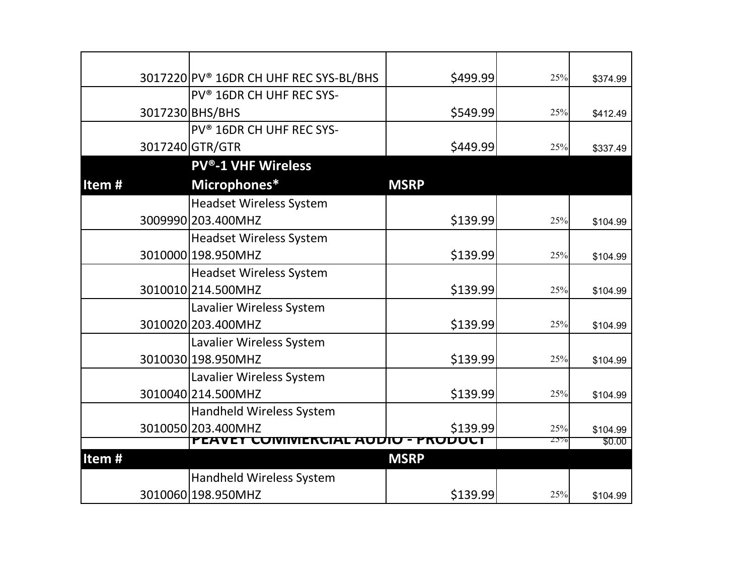|       | 3017220 PV <sup>®</sup> 16DR CH UHF REC SYS-BL/BHS | \$499.99               | 25% | \$374.99 |
|-------|----------------------------------------------------|------------------------|-----|----------|
|       | PV <sup>®</sup> 16DR CH UHF REC SYS-               |                        |     |          |
|       | 3017230 BHS/BHS                                    | \$549.99               | 25% | \$412.49 |
|       | PV <sup>®</sup> 16DR CH UHF REC SYS-               |                        |     |          |
|       | 3017240 GTR/GTR                                    | \$449.99               | 25% | \$337.49 |
|       | <b>PV®-1 VHF Wireless</b>                          |                        |     |          |
| Item# | Microphones*                                       | <b>MSRP</b>            |     |          |
|       | <b>Headset Wireless System</b>                     |                        |     |          |
|       | 3009990 203.400MHZ                                 | \$139.99               | 25% | \$104.99 |
|       | <b>Headset Wireless System</b>                     |                        |     |          |
|       | 3010000 198.950MHZ                                 | \$139.99               | 25% | \$104.99 |
|       | <b>Headset Wireless System</b>                     |                        |     |          |
|       | 3010010 214.500 MHZ                                | \$139.99               | 25% | \$104.99 |
|       | Lavalier Wireless System                           |                        |     |          |
|       | 3010020 203.400MHZ                                 | \$139.99               | 25% | \$104.99 |
|       | Lavalier Wireless System                           |                        |     |          |
|       | 3010030 198.950MHZ                                 | \$139.99               | 25% | \$104.99 |
|       | Lavalier Wireless System                           |                        |     |          |
|       | 3010040 214.500 MHZ                                | \$139.99               | 25% | \$104.99 |
|       | <b>Handheld Wireless System</b>                    |                        |     |          |
|       | 3010050 203.400MHZ                                 | \$139.99               | 25% | \$104.99 |
|       | PEAVEY<br><b>COMMERC</b>                           | <b>AUDIU - PRUDUCI</b> | 25% | \$0.00   |
| Item# |                                                    | <b>MSRP</b>            |     |          |
|       | <b>Handheld Wireless System</b>                    |                        |     |          |
|       | 3010060 198.950MHZ                                 | \$139.99               | 25% | \$104.99 |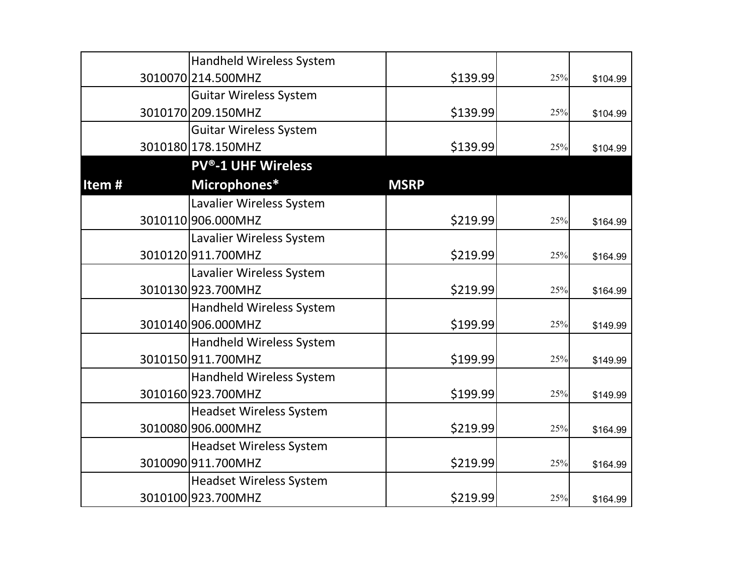|       | <b>Handheld Wireless System</b> |             |     |          |
|-------|---------------------------------|-------------|-----|----------|
|       | 3010070 214.500 MHZ             | \$139.99    | 25% | \$104.99 |
|       | <b>Guitar Wireless System</b>   |             |     |          |
|       | 3010170 209.150MHZ              | \$139.99    | 25% | \$104.99 |
|       | <b>Guitar Wireless System</b>   |             |     |          |
|       | 3010180 178.150MHZ              | \$139.99    | 25% | \$104.99 |
|       | <b>PV®-1 UHF Wireless</b>       |             |     |          |
| Item# | Microphones*                    | <b>MSRP</b> |     |          |
|       | Lavalier Wireless System        |             |     |          |
|       | 3010110 906.000 MHZ             | \$219.99    | 25% | \$164.99 |
|       | Lavalier Wireless System        |             |     |          |
|       | 3010120911.700MHZ               | \$219.99    | 25% | \$164.99 |
|       | Lavalier Wireless System        |             |     |          |
|       | 3010130923.700MHZ               | \$219.99    | 25% | \$164.99 |
|       | Handheld Wireless System        |             |     |          |
|       | 3010140 906.000 MHZ             | \$199.99    | 25% | \$149.99 |
|       | Handheld Wireless System        |             |     |          |
|       | 3010150 911.700MHZ              | \$199.99    | 25% | \$149.99 |
|       | Handheld Wireless System        |             |     |          |
|       | 3010160923.700MHZ               | \$199.99    | 25% | \$149.99 |
|       | <b>Headset Wireless System</b>  |             |     |          |
|       | 3010080 906.000MHZ              | \$219.99    | 25% | \$164.99 |
|       | <b>Headset Wireless System</b>  |             |     |          |
|       | 3010090 911.700MHZ              | \$219.99    | 25% | \$164.99 |
|       | <b>Headset Wireless System</b>  |             |     |          |
|       | 3010100 923.700MHZ              | \$219.99    | 25% | \$164.99 |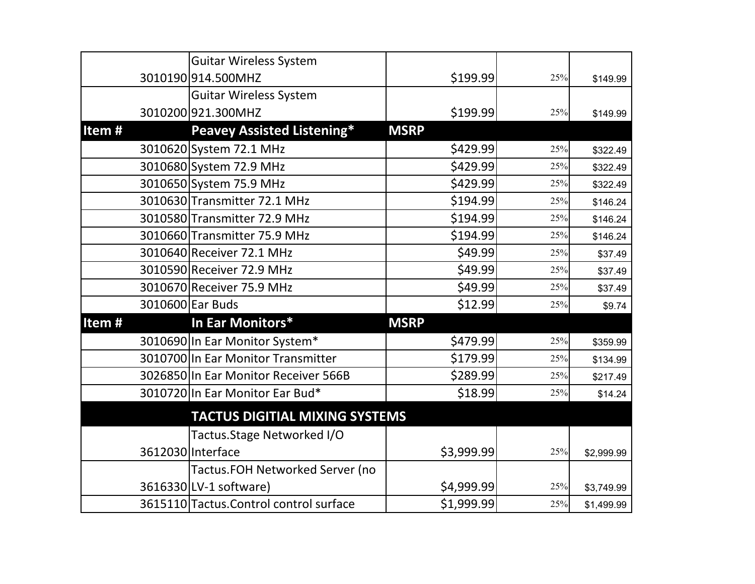|       | <b>Guitar Wireless System</b>           |             |     |            |
|-------|-----------------------------------------|-------------|-----|------------|
|       | 3010190914.500MHZ                       | \$199.99    | 25% | \$149.99   |
|       | <b>Guitar Wireless System</b>           |             |     |            |
|       | 3010200 921.300MHZ                      | \$199.99    | 25% | \$149.99   |
| Item# | <b>Peavey Assisted Listening*</b>       | <b>MSRP</b> |     |            |
|       | 3010620 System 72.1 MHz                 | \$429.99    | 25% | \$322.49   |
|       | 3010680 System 72.9 MHz                 | \$429.99    | 25% | \$322.49   |
|       | 3010650 System 75.9 MHz                 | \$429.99    | 25% | \$322.49   |
|       | 3010630 Transmitter 72.1 MHz            | \$194.99    | 25% | \$146.24   |
|       | 3010580 Transmitter 72.9 MHz            | \$194.99    | 25% | \$146.24   |
|       | 3010660 Transmitter 75.9 MHz            | \$194.99    | 25% | \$146.24   |
|       | 3010640 Receiver 72.1 MHz               | \$49.99     | 25% | \$37.49    |
|       | 3010590 Receiver 72.9 MHz               | \$49.99     | 25% | \$37.49    |
|       | 3010670 Receiver 75.9 MHz               | \$49.99     | 25% | \$37.49    |
|       | 3010600 Ear Buds                        | \$12.99     | 25% | \$9.74     |
| Item# | In Ear Monitors*                        | <b>MSRP</b> |     |            |
|       | 3010690 In Ear Monitor System*          | \$479.99    | 25% | \$359.99   |
|       | 3010700 In Ear Monitor Transmitter      | \$179.99    | 25% | \$134.99   |
|       | 3026850 In Ear Monitor Receiver 566B    | \$289.99    | 25% | \$217.49   |
|       | 3010720 In Ear Monitor Ear Bud*         | \$18.99     | 25% | \$14.24    |
|       | <b>TACTUS DIGITIAL MIXING SYSTEMS</b>   |             |     |            |
|       | Tactus. Stage Networked I/O             |             |     |            |
|       | 3612030 Interface                       | \$3,999.99  | 25% | \$2,999.99 |
|       | <b>Tactus.FOH Networked Server (no</b>  |             |     |            |
|       | 3616330 LV-1 software)                  | \$4,999.99  | 25% | \$3,749.99 |
|       | 3615110 Tactus. Control control surface | \$1,999.99  | 25% | \$1,499.99 |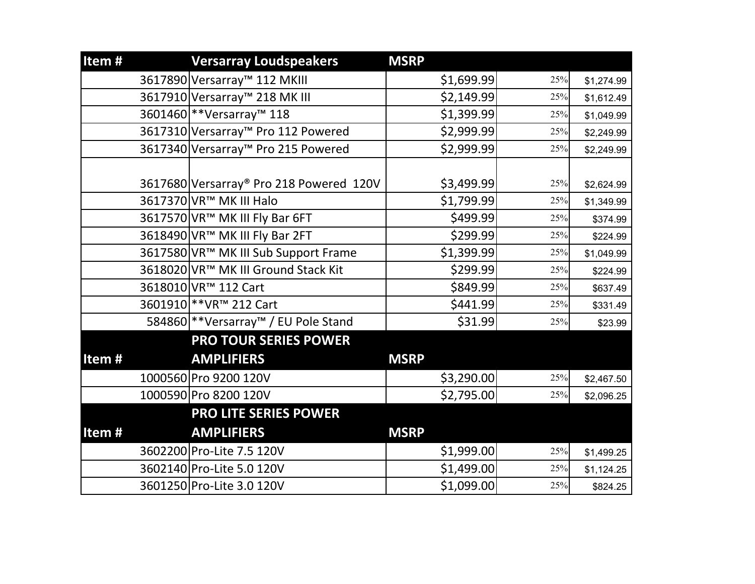| Item# | <b>Versarray Loudspeakers</b>                  | <b>MSRP</b> |     |            |
|-------|------------------------------------------------|-------------|-----|------------|
|       | 3617890 Versarray™ 112 MKIII                   | \$1,699.99  | 25% | \$1,274.99 |
|       | 3617910 Versarray™ 218 MK III                  | \$2,149.99  | 25% | \$1,612.49 |
|       | 3601460 ** Versarray™ 118                      | \$1,399.99  | 25% | \$1,049.99 |
|       | 3617310 Versarray <sup>™</sup> Pro 112 Powered | \$2,999.99  | 25% | \$2,249.99 |
|       | 3617340 Versarray <sup>™</sup> Pro 215 Powered | \$2,999.99  | 25% | \$2,249.99 |
|       |                                                |             |     |            |
|       | 3617680 Versarray® Pro 218 Powered 120V        | \$3,499.99  | 25% | \$2,624.99 |
|       | 3617370 VR™ MK III Halo                        | \$1,799.99  | 25% | \$1,349.99 |
|       | 3617570 VR™ MK III Fly Bar 6FT                 | \$499.99    | 25% | \$374.99   |
|       | 3618490 VR™ MK III Fly Bar 2FT                 | \$299.99    | 25% | \$224.99   |
|       | 3617580 VR™ MK III Sub Support Frame           | \$1,399.99  | 25% | \$1,049.99 |
|       | 3618020 VR™ MK III Ground Stack Kit            | \$299.99    | 25% | \$224.99   |
|       | 3618010 VR™ 112 Cart                           | \$849.99    | 25% | \$637.49   |
|       | 3601910 ** VR <sup>™</sup> 212 Cart            | \$441.99    | 25% | \$331.49   |
|       | 584860 ** Versarray™ / EU Pole Stand           | \$31.99     | 25% | \$23.99    |
|       | <b>PRO TOUR SERIES POWER</b>                   |             |     |            |
| Item# | <b>AMPLIFIERS</b>                              | <b>MSRP</b> |     |            |
|       | 1000560 Pro 9200 120V                          | \$3,290.00  | 25% | \$2,467.50 |
|       | 1000590 Pro 8200 120V                          | \$2,795.00  | 25% | \$2,096.25 |
|       | <b>PRO LITE SERIES POWER</b>                   |             |     |            |
| Item# | <b>AMPLIFIERS</b>                              | <b>MSRP</b> |     |            |
|       | 3602200 Pro-Lite 7.5 120V                      | \$1,999.00  | 25% | \$1,499.25 |
|       | 3602140 Pro-Lite 5.0 120V                      | \$1,499.00  | 25% | \$1,124.25 |
|       | 3601250 Pro-Lite 3.0 120V                      | \$1,099.00  | 25% | \$824.25   |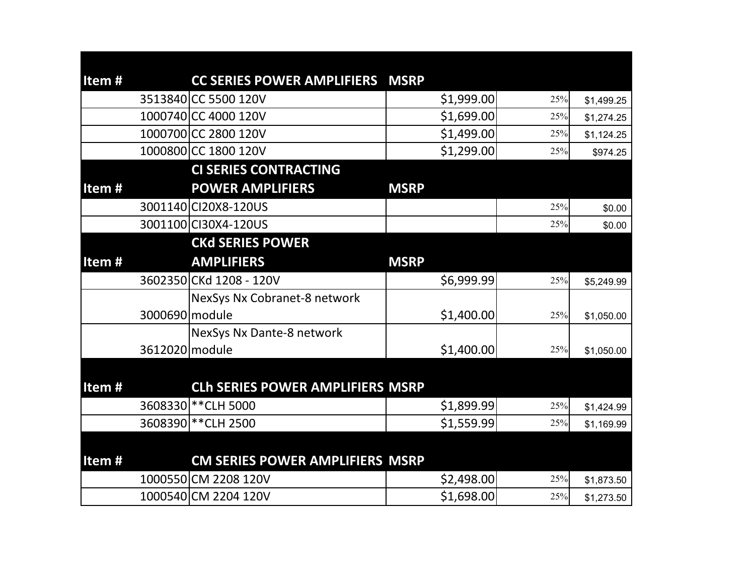| Item#    | <b>CC SERIES POWER AMPLIFIERS</b>       | <b>MSRP</b> |     |            |
|----------|-----------------------------------------|-------------|-----|------------|
|          | 3513840 CC 5500 120V                    | \$1,999.00  | 25% | \$1,499.25 |
|          | 1000740 CC 4000 120V                    | \$1,699.00  | 25% | \$1,274.25 |
|          | 1000700 CC 2800 120V                    | \$1,499.00  | 25% | \$1,124.25 |
|          | 1000800 CC 1800 120V                    | \$1,299.00  | 25% | \$974.25   |
|          | <b>CI SERIES CONTRACTING</b>            |             |     |            |
| Item $#$ | <b>POWER AMPLIFIERS</b>                 | <b>MSRP</b> |     |            |
|          | 3001140 CI20X8-120US                    |             | 25% | \$0.00     |
|          | 3001100 CI30X4-120US                    |             | 25% | \$0.00     |
|          | <b>CKd SERIES POWER</b>                 |             |     |            |
| Item $#$ | <b>AMPLIFIERS</b>                       | <b>MSRP</b> |     |            |
|          | 3602350 CKd 1208 - 120V                 | \$6,999.99  | 25% | \$5,249.99 |
|          | NexSys Nx Cobranet-8 network            |             |     |            |
|          | 3000690 module                          | \$1,400.00  | 25% | \$1,050.00 |
|          | NexSys Nx Dante-8 network               |             |     |            |
|          | 3612020 module                          | \$1,400.00  | 25% | \$1,050.00 |
|          |                                         |             |     |            |
| Item#    | <b>CLh SERIES POWER AMPLIFIERS MSRP</b> |             |     |            |
|          | 3608330 ** CLH 5000                     | \$1,899.99  | 25% | \$1,424.99 |
|          | 3608390 ** CLH 2500                     | \$1,559.99  | 25% | \$1,169.99 |
|          |                                         |             |     |            |
| Item#    | CM SERIES POWER AMPLIFIERS MSRP         |             |     |            |
|          | 1000550 CM 2208 120V                    | \$2,498.00  | 25% | \$1,873.50 |
|          | 1000540 CM 2204 120V                    | \$1,698.00  | 25% | \$1,273.50 |